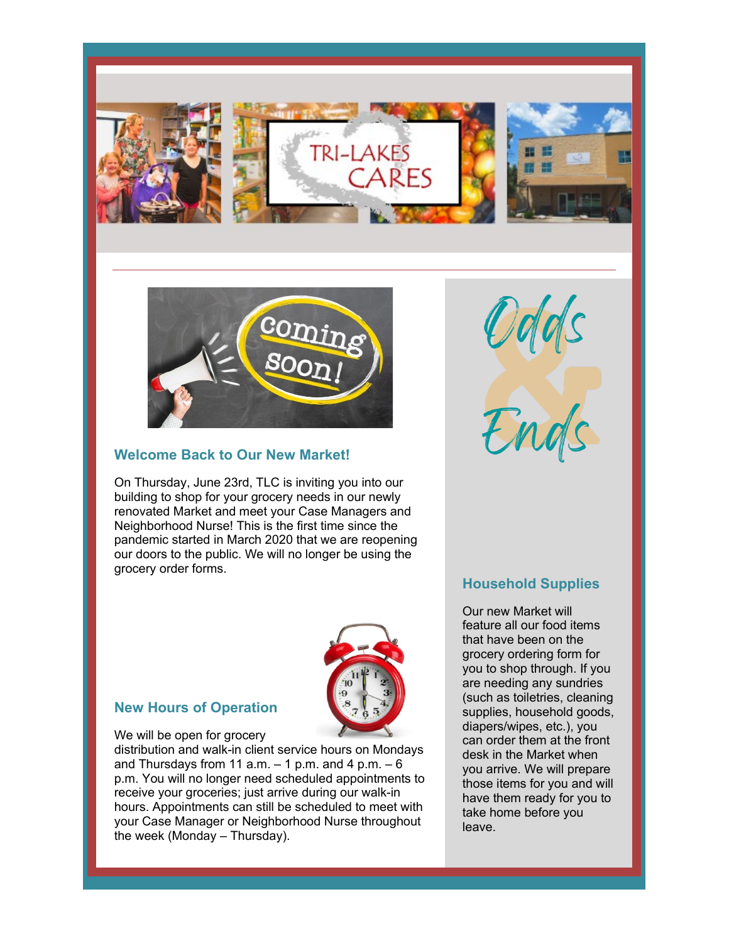





# **Welcome Back to Our New Market!**

On Thursday, June 23rd, TLC is inviting you into our building to shop for your grocery needs in our newly renovated Market and meet your Case Managers and Neighborhood Nurse! This is the first time since the pandemic started in March 2020 that we are reopening our doors to the public. We will no longer be using the grocery order forms.



### **New Hours of Operation**

We will be open for grocery distribution and walk-in client service hours on Mondays and Thursdays from 11 a.m.  $-1$  p.m. and 4 p.m.  $-6$ p.m. You will no longer need scheduled appointments to receive your groceries; just arrive during our walk-in hours. Appointments can still be scheduled to meet with your Case Manager or Neighborhood Nurse throughout the week (Monday – Thursday).



# **Household Supplies**

Our new Market will feature all our food items that have been on the grocery ordering form for you to shop through. If you are needing any sundries (such as toiletries, cleaning supplies, household goods, diapers/wipes, etc.), you can order them at the front desk in the Market when you arrive. We will prepare those items for you and will have them ready for you to take home before you leave.